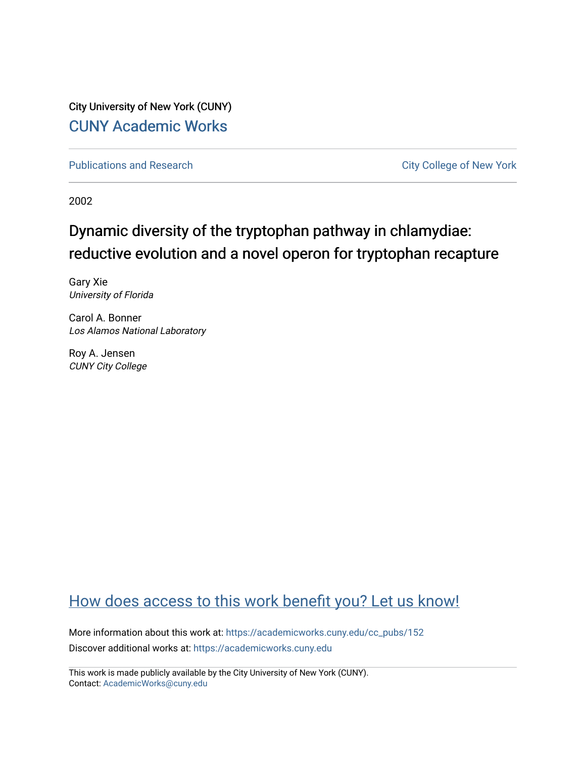City University of New York (CUNY) [CUNY Academic Works](https://academicworks.cuny.edu/) 

[Publications and Research](https://academicworks.cuny.edu/cc_pubs) **City College of New York** Publications and Research

2002

# Dynamic diversity of the tryptophan pathway in chlamydiae: reductive evolution and a novel operon for tryptophan recapture

Gary Xie University of Florida

Carol A. Bonner Los Alamos National Laboratory

Roy A. Jensen CUNY City College

## [How does access to this work benefit you? Let us know!](http://ols.cuny.edu/academicworks/?ref=https://academicworks.cuny.edu/cc_pubs/152)

More information about this work at: [https://academicworks.cuny.edu/cc\\_pubs/152](https://academicworks.cuny.edu/cc_pubs/152)  Discover additional works at: [https://academicworks.cuny.edu](https://academicworks.cuny.edu/?)

This work is made publicly available by the City University of New York (CUNY). Contact: [AcademicWorks@cuny.edu](mailto:AcademicWorks@cuny.edu)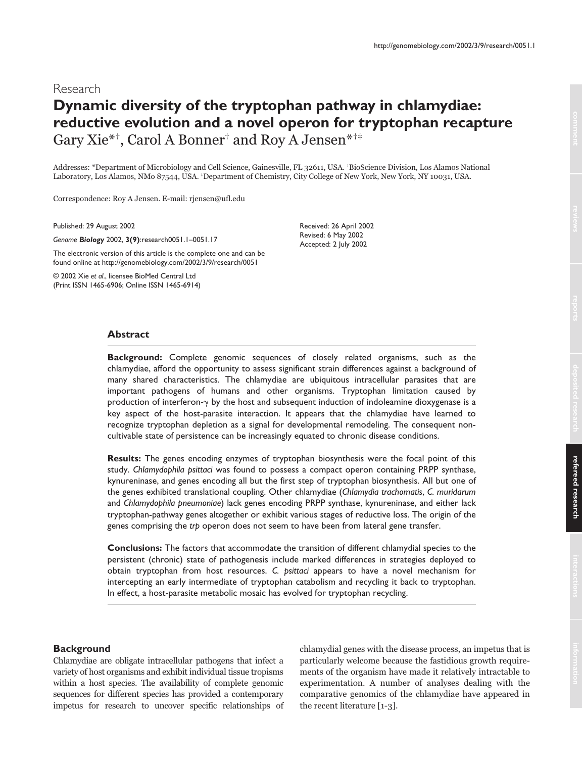## Research **Dynamic diversity of the tryptophan pathway in chlamydiae: reductive evolution and a novel operon for tryptophan recapture** Gary Xie\*†, Carol A Bonner† and Roy A Jensen\*†‡

Addresses: \*Department of Microbiology and Cell Science, Gainesville, FL 32611, USA. †BioScience Division, Los Alamos National Laboratory, Los Alamos, NMo 87544, USA. ‡Department of Chemistry, City College of New York, New York, NY 10031, USA.

Correspondence: Roy A Jensen. E-mail: rjensen@ufl.edu

Published: 29 August 2002

*Genome Biology* 2002, **3(9)**:research0051.1–0051.17

The electronic version of this article is the complete one and can be found online at http://genomebiology.com/2002/3/9/research/0051

© 2002 Xie *et al*., licensee BioMed Central Ltd (Print ISSN 1465-6906; Online ISSN 1465-6914) Received: 26 April 2002 Revised: 6 May 2002 Accepted: 2 July 2002

## **Abstract**

**Background:** Complete genomic sequences of closely related organisms, such as the chlamydiae, afford the opportunity to assess significant strain differences against a background of many shared characteristics. The chlamydiae are ubiquitous intracellular parasites that are important pathogens of humans and other organisms. Tryptophan limitation caused by production of interferon- $\gamma$  by the host and subsequent induction of indoleamine dioxygenase is a key aspect of the host-parasite interaction. It appears that the chlamydiae have learned to recognize tryptophan depletion as a signal for developmental remodeling. The consequent noncultivable state of persistence can be increasingly equated to chronic disease conditions.

**Results:** The genes encoding enzymes of tryptophan biosynthesis were the focal point of this study. *Chlamydophila psittaci* was found to possess a compact operon containing PRPP synthase, kynureninase, and genes encoding all but the first step of tryptophan biosynthesis. All but one of the genes exhibited translational coupling. Other chlamydiae (*Chlamydia trachomatis*, *C. muridarum* and *Chlamydophila pneumoniae*) lack genes encoding PRPP synthase, kynureninase, and either lack tryptophan-pathway genes altogether or exhibit various stages of reductive loss. The origin of the genes comprising the *trp* operon does not seem to have been from lateral gene transfer.

**Conclusions:** The factors that accommodate the transition of different chlamydial species to the persistent (chronic) state of pathogenesis include marked differences in strategies deployed to obtain tryptophan from host resources. *C. psittaci* appears to have a novel mechanism for intercepting an early intermediate of tryptophan catabolism and recycling it back to tryptophan. In effect, a host-parasite metabolic mosaic has evolved for tryptophan recycling.

## **Background**

Chlamydiae are obligate intracellular pathogens that infect a variety of host organisms and exhibit individual tissue tropisms within a host species. The availability of complete genomic sequences for different species has provided a contemporary impetus for research to uncover specific relationships of chlamydial genes with the disease process, an impetus that is particularly welcome because the fastidious growth requirements of the organism have made it relatively intractable to experimentation. A number of analyses dealing with the comparative genomics of the chlamydiae have appeared in the recent literature [1-3].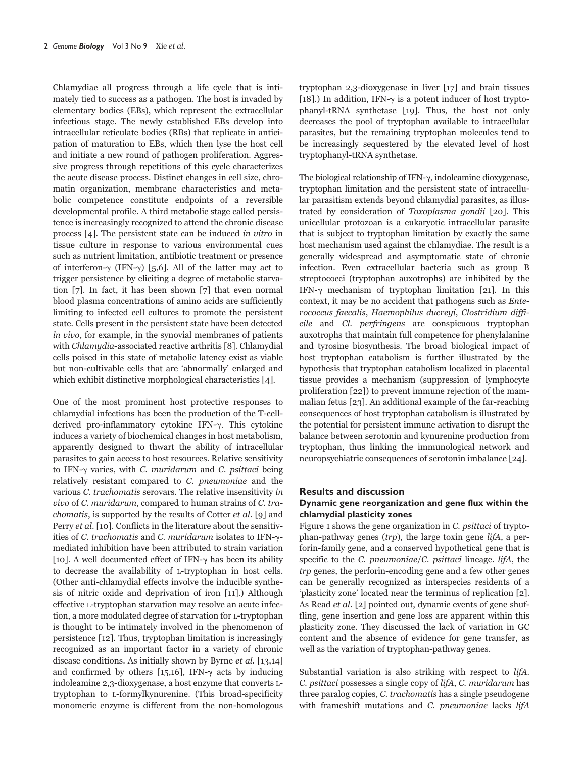Chlamydiae all progress through a life cycle that is intimately tied to success as a pathogen. The host is invaded by elementary bodies (EBs), which represent the extracellular infectious stage. The newly established EBs develop into intracellular reticulate bodies (RBs) that replicate in anticipation of maturation to EBs, which then lyse the host cell and initiate a new round of pathogen proliferation. Aggressive progress through repetitions of this cycle characterizes the acute disease process. Distinct changes in cell size, chromatin organization, membrane characteristics and metabolic competence constitute endpoints of a reversible developmental profile. A third metabolic stage called persistence is increasingly recognized to attend the chronic disease process [4]. The persistent state can be induced in vitro in tissue culture in response to various environmental cues such as nutrient limitation, antibiotic treatment or presence of interferon- $\gamma$  (IFN- $\gamma$ ) [5,6]. All of the latter may act to trigger persistence by eliciting a degree of metabolic starvation [7]. In fact, it has been shown [7] that even normal blood plasma concentrations of amino acids are sufficiently limiting to infected cell cultures to promote the persistent state. Cells present in the persistent state have been detected in vivo, for example, in the synovial membranes of patients with Chlamydia-associated reactive arthritis [8]. Chlamydial cells poised in this state of metabolic latency exist as viable but non-cultivable cells that are 'abnormally' enlarged and which exhibit distinctive morphological characteristics [4].

One of the most prominent host protective responses to chlamydial infections has been the production of the T-cellderived pro-inflammatory cytokine IFN- $\gamma$ . This cytokine induces a variety of biochemical changes in host metabolism, apparently designed to thwart the ability of intracellular parasites to gain access to host resources. Relative sensitivity to IFN- $\gamma$  varies, with C. muridarum and C. psittaci being relatively resistant compared to C. pneumoniae and the various C. trachomatis serovars. The relative insensitivity in vivo of C. muridarum, compared to human strains of C. trachomatis, is supported by the results of Cotter et al. [9] and Perry et al. [10]. Conflicts in the literature about the sensitivities of C. trachomatis and C. muridarum isolates to IFN- $\gamma$ mediated inhibition have been attributed to strain variation [10]. A well documented effect of IFN- $\gamma$  has been its ability to decrease the availability of L-tryptophan in host cells. (Other anti-chlamydial effects involve the inducible synthesis of nitric oxide and deprivation of iron [11].) Although effective L-tryptophan starvation may resolve an acute infection, a more modulated degree of starvation for L-tryptophan is thought to be intimately involved in the phenomenon of persistence [12]. Thus, tryptophan limitation is increasingly recognized as an important factor in a variety of chronic disease conditions. As initially shown by Byrne et al. [13,14] and confirmed by others [15,16], IFN- $\gamma$  acts by inducing indoleamine 2,3-dioxygenase, a host enzyme that converts Ltryptophan to L-formylkynurenine. (This broad-specificity monomeric enzyme is different from the non-homologous tryptophan 2,3-dioxygenase in liver [17] and brain tissues [18].) In addition, IFN- $\gamma$  is a potent inducer of host tryptophanyl-tRNA synthetase [19]. Thus, the host not only decreases the pool of tryptophan available to intracellular parasites, but the remaining tryptophan molecules tend to be increasingly sequestered by the elevated level of host tryptophanyl-tRNA synthetase.

The biological relationship of IFN- $\gamma$ , indoleamine dioxygenase, tryptophan limitation and the persistent state of intracellular parasitism extends beyond chlamydial parasites, as illustrated by consideration of Toxoplasma gondii [20]. This unicellular protozoan is a eukaryotic intracellular parasite that is subject to tryptophan limitation by exactly the same host mechanism used against the chlamydiae. The result is a generally widespread and asymptomatic state of chronic infection. Even extracellular bacteria such as group B streptococci (tryptophan auxotrophs) are inhibited by the IFN- $\gamma$  mechanism of tryptophan limitation [21]. In this context, it may be no accident that pathogens such as Enterococcus faecalis, Haemophilus ducreyi, Clostridium difficile and Cl. perfringens are conspicuous tryptophan auxotrophs that maintain full competence for phenylalanine and tyrosine biosynthesis. The broad biological impact of host tryptophan catabolism is further illustrated by the hypothesis that tryptophan catabolism localized in placental tissue provides a mechanism (suppression of lymphocyte proliferation [22]) to prevent immune rejection of the mammalian fetus [23]. An additional example of the far-reaching consequences of host tryptophan catabolism is illustrated by the potential for persistent immune activation to disrupt the balance between serotonin and kynurenine production from tryptophan, thus linking the immunological network and neuropsychiatric consequences of serotonin imbalance [24].

## **Results and discussion**

## **Dynamic gene reorganization and gene flux within the chlamydial plasticity zones**

Figure 1 shows the gene organization in C. psittaci of tryptophan-pathway genes (trp), the large toxin gene lifA, a perforin-family gene, and a conserved hypothetical gene that is specific to the C. pneumoniae/C. psittaci lineage. lifA, the trp genes, the perforin-encoding gene and a few other genes can be generally recognized as interspecies residents of a 'plasticity zone' located near the terminus of replication [2]. As Read *et al.* [2] pointed out, dynamic events of gene shuffling, gene insertion and gene loss are apparent within this plasticity zone. They discussed the lack of variation in GC content and the absence of evidence for gene transfer, as well as the variation of tryptophan-pathway genes.

Substantial variation is also striking with respect to  $li\pi A$ . C. psittaci possesses a single copy of lifA, C. muridarum has three paralog copies, C. trachomatis has a single pseudogene with frameshift mutations and C. pneumoniae lacks lifA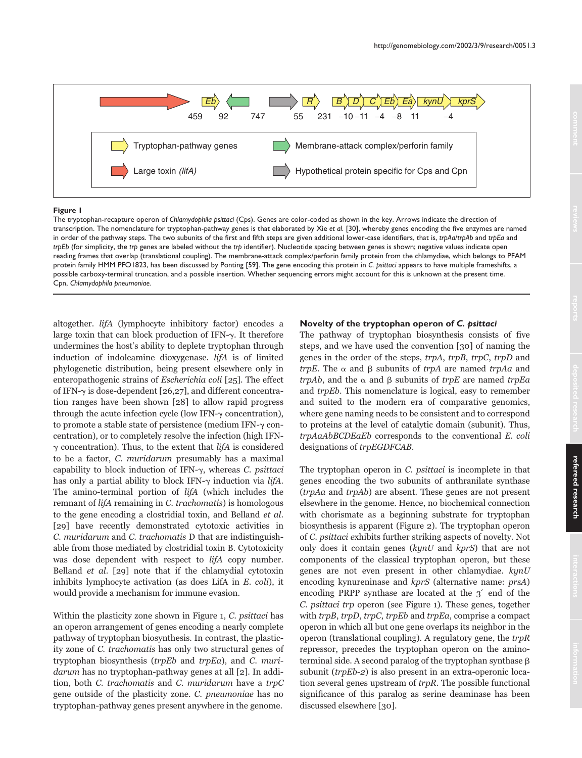

The tryptophan-recapture operon of *Chlamydophila psittaci* (Cps). Genes are color-coded as shown in the key. Arrows indicate the direction of transcription. The nomenclature for tryptophan-pathway genes is that elaborated by Xie *et al*. [30], whereby genes encoding the five enzymes are named in order of the pathway steps. The two subunits of the first and fifth steps are given additional lower-case identifiers, that is, *trpAa*/*trpAb* and *trpEa* and *trpEb* (for simplicity, the *trp* genes are labeled without the *trp* identifier). Nucleotide spacing between genes is shown; negative values indicate open reading frames that overlap (translational coupling). The membrane-attack complex/perforin family protein from the chlamydiae, which belongs to PFAM protein family HMM PFO1823, has been discussed by Ponting [59]. The gene encoding this protein in *C. psittaci* appears to have multiple frameshifts, a possible carboxy-terminal truncation, and a possible insertion. Whether sequencing errors might account for this is unknown at the present time. Cpn, *Chlamydophila pneumoniae.* 

altogether. lifA (lymphocyte inhibitory factor) encodes a large toxin that can block production of IFN- $\gamma$ . It therefore undermines the host's ability to deplete tryptophan through induction of indoleamine dioxygenase. lifA is of limited phylogenetic distribution, being present elsewhere only in enteropathogenic strains of Escherichia coli [25]. The effect of IFN- $\gamma$  is dose-dependent [26,27], and different concentration ranges have been shown [28] to allow rapid progress through the acute infection cycle (low IFN- $\gamma$  concentration), to promote a stable state of persistence (medium IFN- $\gamma$  concentration), or to completely resolve the infection (high IFN-  $\gamma$  concentration). Thus, to the extent that *lifA* is considered to be a factor, C. muridarum presumably has a maximal capability to block induction of IFN- $\gamma$ , whereas C. psittaci has only a partial ability to block IFN- $\gamma$  induction via lifA. The amino-terminal portion of lifA (which includes the remnant of lifA remaining in C. trachomatis) is homologous to the gene encoding a clostridial toxin, and Belland et al. [29] have recently demonstrated cytotoxic activities in C. muridarum and C. trachomatis D that are indistinguishable from those mediated by clostridial toxin B. Cytotoxicity was dose dependent with respect to lifA copy number. Belland et al. [29] note that if the chlamydial cytotoxin inhibits lymphocyte activation (as does LifA in E. coli), it would provide a mechanism for immune evasion.

Within the plasticity zone shown in Figure 1, C. *psittaci* has an operon arrangement of genes encoding a nearly complete pathway of tryptophan biosynthesis. In contrast, the plasticity zone of C. trachomatis has only two structural genes of tryptophan biosynthesis (trpEb and trpEa), and C. muridarum has no tryptophan-pathway genes at all [2]. In addition, both C. trachomatis and C. muridarum have a trpC gene outside of the plasticity zone. C. pneumoniae has no tryptophan-pathway genes present anywhere in the genome.

## **Novelty of the tryptophan operon of** *C. psittaci*

The pathway of tryptophan biosynthesis consists of five steps, and we have used the convention [30] of naming the genes in the order of the steps, trpA, trpB, trpC, trpD and *trpE*. The  $\alpha$  and  $\beta$  subunits of *trpA* are named *trpAa* and *trpAb*, and the  $\alpha$  and  $\beta$  subunits of *trpE* are named *trpEa* and trpEb. This nomenclature is logical, easy to remember and suited to the modern era of comparative genomics, where gene naming needs to be consistent and to correspond to proteins at the level of catalytic domain (subunit). Thus, trpAaAbBCDEaEb corresponds to the conventional E. coli designations of trpEGDFCAB.

The tryptophan operon in C. psittaci is incomplete in that genes encoding the two subunits of anthranilate synthase (trpAa and trpAb) are absent. These genes are not present elsewhere in the genome. Hence, no biochemical connection with chorismate as a beginning substrate for tryptophan biosynthesis is apparent (Figure 2). The tryptophan operon of C. psittaci exhibits further striking aspects of novelty. Not only does it contain genes  $(kynU$  and  $kprS$ ) that are not components of the classical tryptophan operon, but these genes are not even present in other chlamydiae. kynU encoding kynureninase and kprS (alternative name: prsA) encoding PRPP synthase are located at the 3´ end of the C. psittaci trp operon (see Figure 1). These genes, together with *trpB*, *trpD*, *trpC*, *trpEb* and *trpEa*, comprise a compact operon in which all but one gene overlaps its neighbor in the operon (translational coupling). A regulatory gene, the trpR repressor, precedes the tryptophan operon on the aminoterminal side. A second paralog of the tryptophan synthase  $\beta$ subunit (trpEb-2) is also present in an extra-operonic location several genes upstream of trpR. The possible functional significance of this paralog as serine deaminase has been discussed elsewhere [30].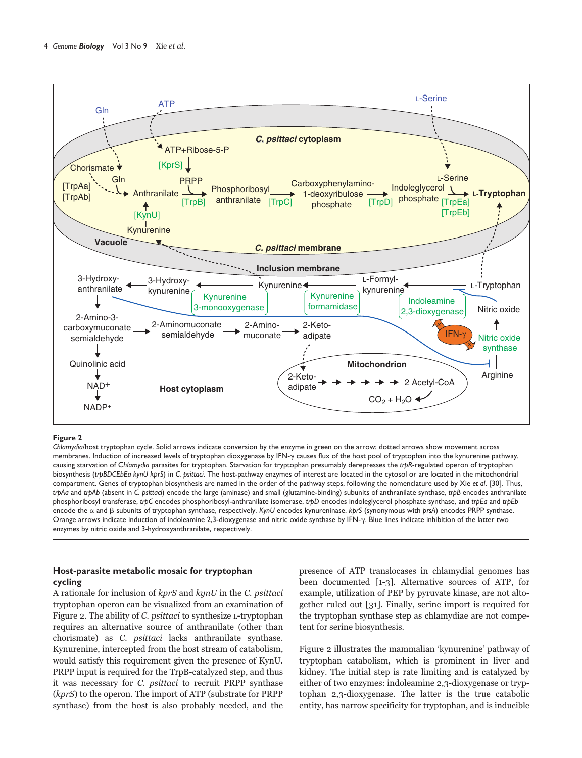

*Chlamydia*/host tryptophan cycle. Solid arrows indicate conversion by the enzyme in green on the arrow; dotted arrows show movement across membranes. Induction of increased levels of tryptophan dioxygenase by IFN-y causes flux of the host pool of tryptophan into the kynurenine pathway, causing starvation of C*hlamydia* parasites for tryptophan. Starvation for tryptophan presumably derepresses the *trpR*-regulated operon of tryptophan biosynthesis (*trpBDCEbEa kynU kprS*) in *C. psittaci*. The host-pathway enzymes of interest are located in the cytosol or are located in the mitochondrial compartment. Genes of tryptophan biosynthesis are named in the order of the pathway steps, following the nomenclature used by Xie *et al*. [30]. Thus, *trpAa* and *trpAb* (absent in *C. psittaci*) encode the large (aminase) and small (glutamine-binding) subunits of anthranilate synthase, *trpB* encodes anthranilate phosphoribosyl transferase, *trpC* encodes phosphoribosyl-anthranilate isomerase, *trpD* encodes indoleglycerol phosphate synthase, and *trpEa* and *trpEb* encode the α and β subunits of tryptophan synthase, respectively. KynU encodes kynureninase. kprS (synonymous with prsA) encodes PRPP synthase. Orange arrows indicate induction of indoleamine 2,3-dioxygenase and nitric oxide synthase by IFN- $\gamma$ . Blue lines indicate inhibition of the latter two enzymes by nitric oxide and 3-hydroxyanthranilate, respectively.

## **Host-parasite metabolic mosaic for tryptophan cycling**

A rationale for inclusion of kprS and kynU in the C. psittaci tryptophan operon can be visualized from an examination of Figure 2. The ability of C. psittaci to synthesize L-tryptophan requires an alternative source of anthranilate (other than chorismate) as C. psittaci lacks anthranilate synthase. Kynurenine, intercepted from the host stream of catabolism, would satisfy this requirement given the presence of KynU. PRPP input is required for the TrpB-catalyzed step, and thus it was necessary for C. psittaci to recruit PRPP synthase (kprS) to the operon. The import of ATP (substrate for PRPP synthase) from the host is also probably needed, and the presence of ATP translocases in chlamydial genomes has been documented [1-3]. Alternative sources of ATP, for example, utilization of PEP by pyruvate kinase, are not altogether ruled out [31]. Finally, serine import is required for the tryptophan synthase step as chlamydiae are not competent for serine biosynthesis.

Figure 2 illustrates the mammalian 'kynurenine' pathway of tryptophan catabolism, which is prominent in liver and kidney. The initial step is rate limiting and is catalyzed by either of two enzymes: indoleamine 2,3-dioxygenase or tryptophan 2,3-dioxygenase. The latter is the true catabolic entity, has narrow specificity for tryptophan, and is inducible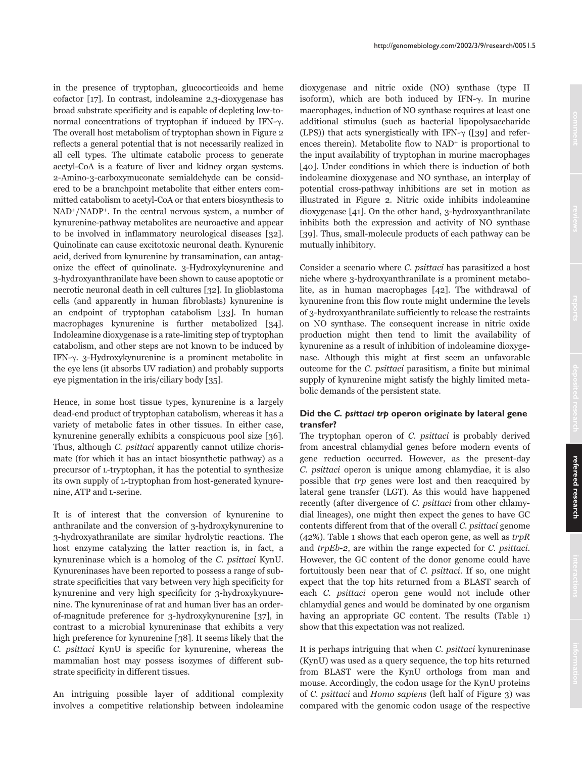in the presence of tryptophan, glucocorticoids and heme cofactor [17]. In contrast, indoleamine 2,3-dioxygenase has broad substrate specificity and is capable of depleting low-tonormal concentrations of tryptophan if induced by IFN- $\gamma$ . The overall host metabolism of tryptophan shown in Figure 2 reflects a general potential that is not necessarily realized in all cell types. The ultimate catabolic process to generate acetyl-CoA is a feature of liver and kidney organ systems. 2-Amino-3-carboxymuconate semialdehyde can be considered to be a branchpoint metabolite that either enters committed catabolism to acetyl-CoA or that enters biosynthesis to NAD+/NADP+. In the central nervous system, a number of kynurenine-pathway metabolites are neuroactive and appear to be involved in inflammatory neurological diseases [32]. Quinolinate can cause excitotoxic neuronal death. Kynurenic acid, derived from kynurenine by transamination, can antagonize the effect of quinolinate. 3-Hydroxykynurenine and 3-hydroxyanthranilate have been shown to cause apoptotic or necrotic neuronal death in cell cultures [32]. In glioblastoma cells (and apparently in human fibroblasts) kynurenine is an endpoint of tryptophan catabolism [33]. In human macrophages kynurenine is further metabolized [34]. Indoleamine dioxygenase is a rate-limiting step of tryptophan catabolism, and other steps are not known to be induced by IFN- $\gamma$ . 3-Hydroxykynurenine is a prominent metabolite in the eye lens (it absorbs UV radiation) and probably supports eye pigmentation in the iris/ciliary body [35].

Hence, in some host tissue types, kynurenine is a largely dead-end product of tryptophan catabolism, whereas it has a variety of metabolic fates in other tissues. In either case, kynurenine generally exhibits a conspicuous pool size [36]. Thus, although C. psittaci apparently cannot utilize chorismate (for which it has an intact biosynthetic pathway) as a precursor of L-tryptophan, it has the potential to synthesize its own supply of L-tryptophan from host-generated kynurenine, ATP and L-serine.

It is of interest that the conversion of kynurenine to anthranilate and the conversion of 3-hydroxykynurenine to 3-hydroxyathranilate are similar hydrolytic reactions. The host enzyme catalyzing the latter reaction is, in fact, a kynureninase which is a homolog of the C. psittaci KynU. Kynureninases have been reported to possess a range of substrate specificities that vary between very high specificity for kynurenine and very high specificity for 3-hydroxykynurenine. The kynureninase of rat and human liver has an orderof-magnitude preference for 3-hydroxykynurenine [37], in contrast to a microbial kynureninase that exhibits a very high preference for kynurenine [38]. It seems likely that the C. psittaci KynU is specific for kynurenine, whereas the mammalian host may possess isozymes of different substrate specificity in different tissues.

An intriguing possible layer of additional complexity involves a competitive relationship between indoleamine dioxygenase and nitric oxide (NO) synthase (type II isoform), which are both induced by IFN- $\gamma$ . In murine macrophages, induction of NO synthase requires at least one additional stimulus (such as bacterial lipopolysaccharide (LPS)) that acts synergistically with IFN- $\gamma$  ([39] and references therein). Metabolite flow to NAD+ is proportional to the input availability of tryptophan in murine macrophages [40]. Under conditions in which there is induction of both indoleamine dioxygenase and NO synthase, an interplay of potential cross-pathway inhibitions are set in motion as illustrated in Figure 2. Nitric oxide inhibits indoleamine dioxygenase [41]. On the other hand, 3-hydroxyanthranilate inhibits both the expression and activity of NO synthase [39]. Thus, small-molecule products of each pathway can be mutually inhibitory.

Consider a scenario where C. psittaci has parasitized a host niche where 3-hydroxyanthranilate is a prominent metabolite, as in human macrophages [42]. The withdrawal of kynurenine from this flow route might undermine the levels of 3-hydroxyanthranilate sufficiently to release the restraints on NO synthase. The consequent increase in nitric oxide production might then tend to limit the availability of kynurenine as a result of inhibition of indoleamine dioxygenase. Although this might at first seem an unfavorable outcome for the C. psittaci parasitism, a finite but minimal supply of kynurenine might satisfy the highly limited metabolic demands of the persistent state.

## **Did the** *C. psittaci trp* **operon originate by lateral gene transfer?**

The tryptophan operon of C. psittaci is probably derived from ancestral chlamydial genes before modern events of gene reduction occurred. However, as the present-day C. psittaci operon is unique among chlamydiae, it is also possible that trp genes were lost and then reacquired by lateral gene transfer (LGT). As this would have happened recently (after divergence of C. psittaci from other chlamydial lineages), one might then expect the genes to have GC contents different from that of the overall C. psittaci genome  $(42%)$ . Table 1 shows that each operon gene, as well as  $trpR$ and trpEb-2, are within the range expected for C. psittaci. However, the GC content of the donor genome could have fortuitously been near that of C. psittaci. If so, one might expect that the top hits returned from a BLAST search of each C. psittaci operon gene would not include other chlamydial genes and would be dominated by one organism having an appropriate GC content. The results (Table 1) show that this expectation was not realized.

It is perhaps intriguing that when C. psittaci kynureninase (KynU) was used as a query sequence, the top hits returned from BLAST were the KynU orthologs from man and mouse. Accordingly, the codon usage for the KynU proteins of C. psittaci and Homo sapiens (left half of Figure 3) was compared with the genomic codon usage of the respective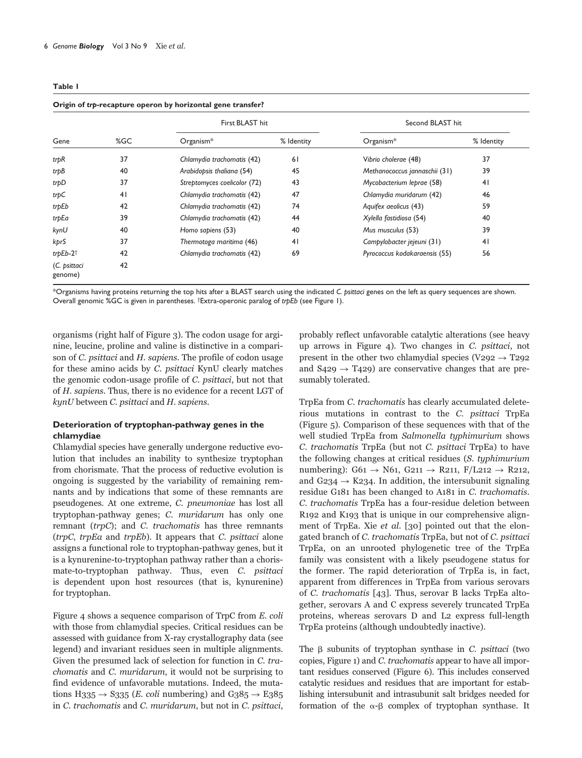| .<br>$\sim$ |  |
|-------------|--|
|-------------|--|

**Origin of** *trp***-recapture operon by horizontal gene transfer?**

| Gene                    | %GC | First BLAST hit              |            | Second BLAST hit              |            |
|-------------------------|-----|------------------------------|------------|-------------------------------|------------|
|                         |     | Organism*                    | % Identity | $Organism*$                   | % Identity |
| trpR                    | 37  | Chlamydia trachomatis (42)   | 61         | Vibrio cholerae (48)          | 37         |
| trpB                    | 40  | Arabidopsis thaliana (54)    | 45         | Methanococcus jannaschii (31) | 39         |
| trpD                    | 37  | Streptomyces coelicolor (72) | 43         | Mycobacterium leprae (58)     | 41         |
| trpC                    | 41  | Chlamydia trachomatis (42)   | 47         | Chlamydia muridarum (42)      | 46         |
| trpEb                   | 42  | Chlamydia trachomatis (42)   | 74         | Aquifex aeolicus (43)         | 59         |
| trpEa                   | 39  | Chlamydia trachomatis (42)   | 44         | Xylella fastidiosa (54)       | 40         |
| kynU                    | 40  | Homo sapiens (53)            | 40         | Mus musculus (53)             | 39         |
| kprS                    | 37  | Thermotoga maritima (46)     | 41         | Campylobacter jejeuni (31)    | 41         |
| $trpEb-2^{\dagger}$     | 42  | Chlamydia trachomatis (42)   | 69         | Pyrococcus kodakaraensis (55) | 56         |
| (C. psittaci<br>genome) | 42  |                              |            |                               |            |

\*Organisms having proteins returning the top hits after a BLAST search using the indicated *C. psittaci* genes on the left as query sequences are shown. Overall genomic %GC is given in parentheses. †Extra-operonic paralog of *trpEb* (see Figure 1).

organisms (right half of Figure 3). The codon usage for arginine, leucine, proline and valine is distinctive in a comparison of C. psittaci and H. sapiens. The profile of codon usage for these amino acids by C. psittaci KynU clearly matches the genomic codon-usage profile of C. psittaci, but not that of H. sapiens. Thus, there is no evidence for a recent LGT of kynU between C. psittaci and H. sapiens.

## **Deterioration of tryptophan-pathway genes in the chlamydiae**

Chlamydial species have generally undergone reductive evolution that includes an inability to synthesize tryptophan from chorismate. That the process of reductive evolution is ongoing is suggested by the variability of remaining remnants and by indications that some of these remnants are pseudogenes. At one extreme, C. pneumoniae has lost all tryptophan-pathway genes; C. muridarum has only one remnant (trpC); and C. trachomatis has three remnants  $(trpC, trpEa$  and  $trpEb)$ . It appears that C. psittaci alone assigns a functional role to tryptophan-pathway genes, but it is a kynurenine-to-tryptophan pathway rather than a chorismate-to-tryptophan pathway. Thus, even C. psittaci is dependent upon host resources (that is, kynurenine) for tryptophan.

Figure 4 shows a sequence comparison of TrpC from E. coli with those from chlamydial species. Critical residues can be assessed with guidance from X-ray crystallography data (see legend) and invariant residues seen in multiple alignments. Given the presumed lack of selection for function in C. trachomatis and C. muridarum, it would not be surprising to find evidence of unfavorable mutations. Indeed, the mutations H335  $\rightarrow$  S335 (*E. coli* numbering) and G385  $\rightarrow$  E385 in C. trachomatis and C. muridarum, but not in C. psittaci, probably reflect unfavorable catalytic alterations (see heavy up arrows in Figure 4). Two changes in C. psittaci, not present in the other two chlamydial species (V292  $\rightarrow$  T292 and  $S_{429} \rightarrow T_{429}$  are conservative changes that are presumably tolerated.

TrpEa from C. trachomatis has clearly accumulated deleterious mutations in contrast to the C. psittaci TrpEa (Figure 5). Comparison of these sequences with that of the well studied TrpEa from Salmonella typhimurium shows C. trachomatis TrpEa (but not C. psittaci TrpEa) to have the following changes at critical residues (S. typhimurium numbering): G61  $\rightarrow$  N61, G211  $\rightarrow$  R211, F/L212  $\rightarrow$  R212, and G234  $\rightarrow$  K234. In addition, the intersubunit signaling residue G181 has been changed to A181 in C. trachomatis. C. trachomatis TrpEa has a four-residue deletion between R192 and K193 that is unique in our comprehensive alignment of TrpEa. Xie et al. [30] pointed out that the elongated branch of C. trachomatis TrpEa, but not of C. psittaci TrpEa, on an unrooted phylogenetic tree of the TrpEa family was consistent with a likely pseudogene status for the former. The rapid deterioration of TrpEa is, in fact, apparent from differences in TrpEa from various serovars of C. trachomatis [43]. Thus, serovar B lacks TrpEa altogether, serovars A and C express severely truncated TrpEa proteins, whereas serovars D and L2 express full-length TrpEa proteins (although undoubtedly inactive).

The  $\beta$  subunits of tryptophan synthase in C. psittaci (two copies, Figure 1) and C. trachomatis appear to have all important residues conserved (Figure 6). This includes conserved catalytic residues and residues that are important for establishing intersubunit and intrasubunit salt bridges needed for formation of the  $\alpha$ - $\beta$  complex of tryptophan synthase. It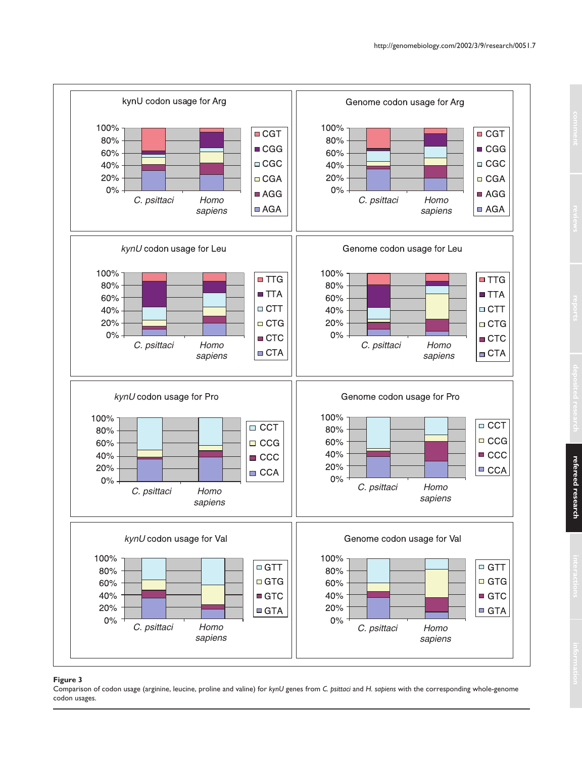

Comparison of codon usage (arginine, leucine, proline and valine) for *kynU* genes from *C. psittaci* and *H. sapiens* with the corresponding whole-genome codon usages.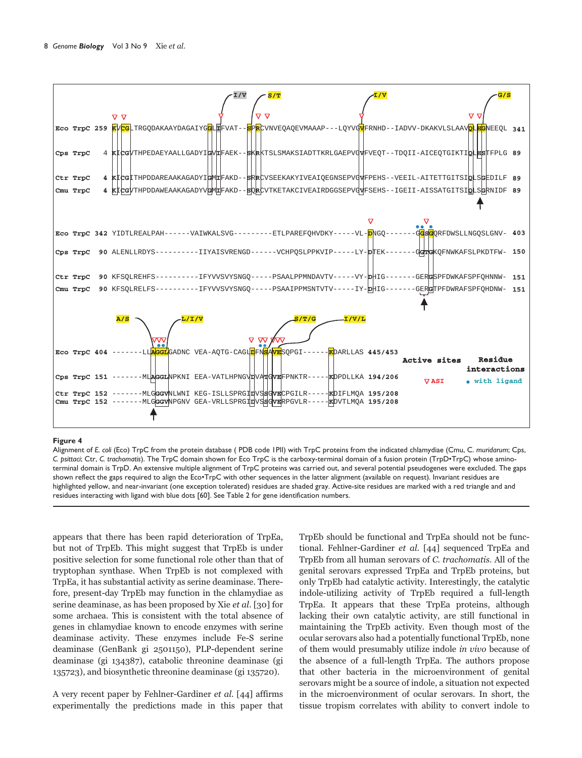

Alignment of *E. coli* (Eco) TrpC from the protein database ( PDB code 1PII) with TrpC proteins from the indicated chlamydiae (Cmu, C. *muridarum*; Cps, *C. psittaci*; Ctr, *C. trachomatis*). The TrpC domain shown for Eco TrpC is the carboxy-terminal domain of a fusion protein (TrpD•TrpC) whose aminoterminal domain is TrpD. An extensive multiple alignment of TrpC proteins was carried out, and several potential pseudogenes were excluded. The gaps shown reflect the gaps required to align the Eco•TrpC with other sequences in the latter alignment (available on request). Invariant residues are highlighted yellow, and near-invariant (one exception tolerated) residues are shaded gray. Active-site residues are marked with a red triangle and and residues interacting with ligand with blue dots [60]. See Table 2 for gene identification numbers.

appears that there has been rapid deterioration of TrpEa, but not of TrpEb. This might suggest that TrpEb is under positive selection for some functional role other than that of tryptophan synthase. When TrpEb is not complexed with TrpEa, it has substantial activity as serine deaminase. Therefore, present-day TrpEb may function in the chlamydiae as serine deaminase, as has been proposed by Xie et al. [30] for some archaea. This is consistent with the total absence of genes in chlamydiae known to encode enzymes with serine deaminase activity. These enzymes include Fe-S serine deaminase (GenBank gi 2501150), PLP-dependent serine deaminase (gi 134387), catabolic threonine deaminase (gi 135723), and biosynthetic threonine deaminase (gi 135720).

A very recent paper by Fehlner-Gardiner et al. [44] affirms experimentally the predictions made in this paper that

TrpEb should be functional and TrpEa should not be functional. Fehlner-Gardiner et al. [44] sequenced TrpEa and TrpEb from all human serovars of C. trachomatis. All of the genital serovars expressed TrpEa and TrpEb proteins, but only TrpEb had catalytic activity. Interestingly, the catalytic indole-utilizing activity of TrpEb required a full-length TrpEa. It appears that these TrpEa proteins, although lacking their own catalytic activity, are still functional in maintaining the TrpEb activity. Even though most of the ocular serovars also had a potentially functional TrpEb, none of them would presumably utilize indole in vivo because of the absence of a full-length TrpEa. The authors propose that other bacteria in the microenvironment of genital serovars might be a source of indole, a situation not expected in the microenvironment of ocular serovars. In short, the tissue tropism correlates with ability to convert indole to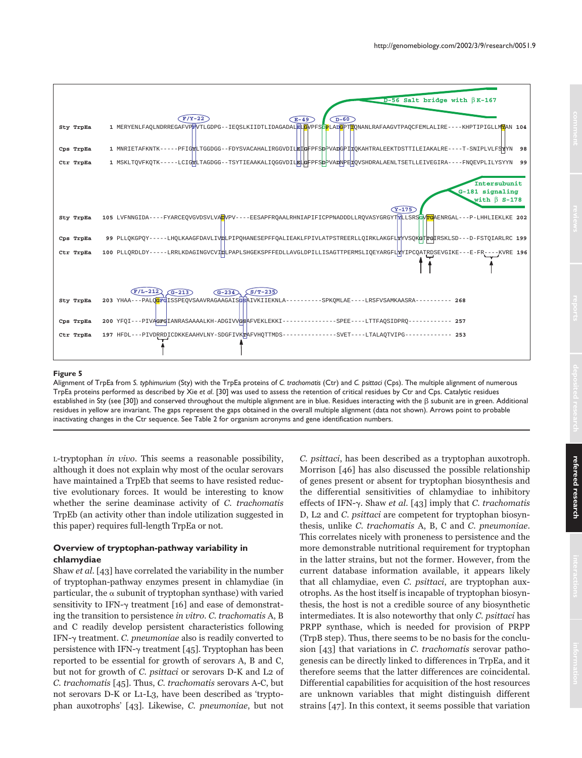

Alignment of TrpEa from *S. typhimurium* (Sty) with the TrpEa proteins of *C. trachomatis* (Ctr) and *C. psittaci* (Cps). The multiple alignment of numerous TrpEa proteins performed as described by Xie *et al*. [30] was used to assess the retention of critical residues by Ctr and Cps. Catalytic residues established in Sty (see [30]) and conserved throughout the multiple alignment are in blue. Residues interacting with the  $\beta$  subunit are in green. Additional residues in yellow are invariant. The gaps represent the gaps obtained in the overall multiple alignment (data not shown). Arrows point to probable inactivating changes in the Ctr sequence. See Table 2 for organism acronyms and gene identification numbers.

L-tryptophan in vivo. This seems a reasonable possibility, although it does not explain why most of the ocular serovars have maintained a TrpEb that seems to have resisted reductive evolutionary forces. It would be interesting to know whether the serine deaminase activity of C. trachomatis TrpEb (an activity other than indole utilization suggested in this paper) requires full-length TrpEa or not.

## **Overview of tryptophan-pathway variability in chlamydiae**

Shaw et al. [43] have correlated the variability in the number of tryptophan-pathway enzymes present in chlamydiae (in particular, the  $\alpha$  subunit of tryptophan synthase) with varied sensitivity to IFN- $\gamma$  treatment [16] and ease of demonstrating the transition to persistence in vitro. C. trachomatis A, B and C readily develop persistent characteristics following IFN- $\gamma$  treatment. C. pneumoniae also is readily converted to persistence with IFN- $\gamma$  treatment [45]. Tryptophan has been reported to be essential for growth of serovars A, B and C, but not for growth of C. psittaci or serovars D-K and L2 of C. trachomatis [45]. Thus, C. trachomatis serovars A-C, but not serovars D-K or L1-L3, have been described as 'tryptophan auxotrophs' [43]. Likewise, C. pneumoniae, but not C. psittaci, has been described as a tryptophan auxotroph. Morrison [46] has also discussed the possible relationship of genes present or absent for tryptophan biosynthesis and the differential sensitivities of chlamydiae to inhibitory effects of IFN- $\gamma$ . Shaw et al. [43] imply that C. trachomatis D, L2 and C. psittaci are competent for tryptophan biosynthesis, unlike C. trachomatis A, B, C and C. pneumoniae. This correlates nicely with proneness to persistence and the more demonstrable nutritional requirement for tryptophan in the latter strains, but not the former. However, from the current database information available, it appears likely that all chlamydiae, even C. psittaci, are tryptophan auxotrophs. As the host itself is incapable of tryptophan biosynthesis, the host is not a credible source of any biosynthetic intermediates. It is also noteworthy that only C. psittaci has PRPP synthase, which is needed for provision of PRPP (TrpB step). Thus, there seems to be no basis for the conclusion [43] that variations in C. trachomatis serovar pathogenesis can be directly linked to differences in TrpEa, and it therefore seems that the latter differences are coincidental. Differential capabilities for acquisition of the host resources are unknown variables that might distinguish different strains [47]. In this context, it seems possible that variation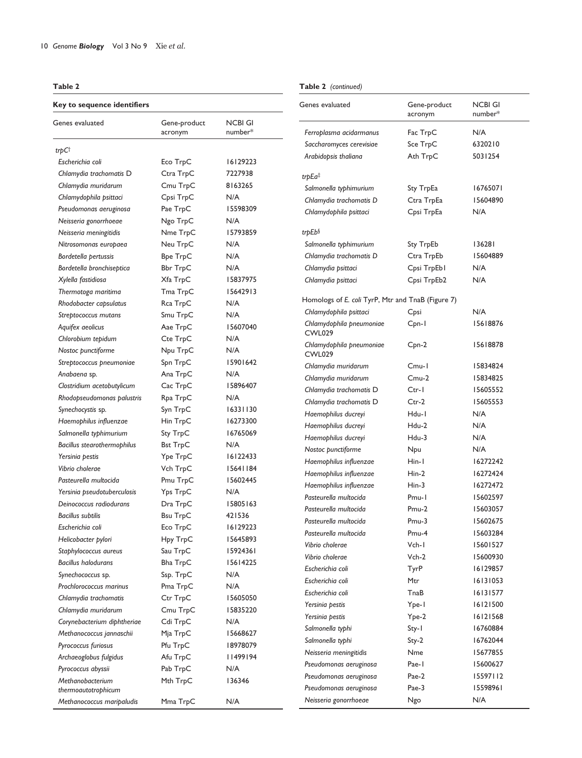## **Table 2**

| Table 2 (continued) |  |
|---------------------|--|
|---------------------|--|

**NCBI GI** number\*

*Saccharomyces cerevisiae* Sce TrpC 6320210 *Arabidopsis thaliana* Ath TrpC 5031254

*Salmonella typhimurium* Sty TrpEa 16765071 *Chlamydia trachomatis D* Ctra TrpEa 15604890

*Salmonella typhimurium* Sty TrpEb 136281 *Chlamydia trachomatis D* Ctra TrpEb 15604889

*Chlamydophila pneumoniae* Cpn-1 15618876

*Chlamydophila pneumoniae* Cpn-2 15618878

*Chlamydia muridarum* Cmu-1 15834824 *Chlamydia muridarum* Cmu-2 15834825 *Chlamydia trachomatis* D Ctr-1 15605552 *Chlamydia trachomatis* D Ctr-2 15605553

*Haemophilus influenzae* Hin-1 16272242 *Haemophilus influenzae* Hin-2 16272424 *Haemophilus influenzae* Hin-3 16272472 *Pasteurella multocida* Pmu-1 15602597 *Pasteurella multocida* Pmu-2 15603057 *Pasteurella multocida* Pmu-3 15602675 *Pasteurella multocida* Pmu-4 15603284 *Vibrio cholerae* Vch-1 15601527 *Vibrio cholerae* Vch-2 15600930 *Escherichia coli* TyrP 16129857 *Escherichia coli* Mtr 16131053 *Escherichia coli* TnaB 16131577 *Yersinia pestis* Ype-1 16121500 *Yersinia pestis* Ype-2 16121568 *Salmonella typhi* Sty-1 16760884 *Salmonella typhi* Sty-2 16762044 *Neisseria meningitidis* Nme 15677855 *Pseudomonas aeruginosa* Pae-1 15600627 *Pseudomonas aeruginosa* Pae-2 15597112 *Pseudomonas aeruginosa* Pae-3 15598961

| Key to sequence identifiers |                 |                | Genes evaluated                                   | Gene-product      | <b>NCB</b> |
|-----------------------------|-----------------|----------------|---------------------------------------------------|-------------------|------------|
| Genes evaluated             | Gene-product    | <b>NCBI GI</b> |                                                   | acronym           | numl       |
|                             | acronym         | number*        | Ferroplasma acidarmanus                           | Fac TrpC          | N/A        |
| $trpC^{\dagger}$            |                 |                | Saccharomyces cerevisiae                          | Sce TrpC          | 6320       |
| Escherichia coli            | Eco TrpC        | 16129223       | Arabidopsis thaliana                              | Ath TrpC          | 5031       |
| Chlamydia trachomatis D     | Ctra TrpC       | 7227938        | $trpEa^{\ddagger}$                                |                   |            |
| Chlamydia muridarum         | Cmu TrpC        | 8163265        | Salmonella typhimurium                            | Sty TrpEa         | 1676       |
| Chlamydophila psittaci      | Cpsi TrpC       | N/A            | Chlamydia trachomatis D                           | Ctra TrpEa        | 1560       |
| Pseudomonas aeruginosa      | Pae TrpC        | 15598309       | Chlamydophila psittaci                            | Cpsi TrpEa        | N/A        |
| Neisseria gonorrhoeae       | Ngo TrpC        | N/A            |                                                   |                   |            |
| Neisseria meningitidis      | Nme TrpC        | 15793859       | trpEb§                                            |                   |            |
| Nitrosomonas europaea       | Neu TrpC        | N/A            | Salmonella typhimurium                            | Sty TrpEb         | 1362       |
| Bordetella pertussis        | Bpe TrpC        | N/A            | Chlamydia trachomatis D                           | Ctra TrpEb        | 1560       |
| Bordetella bronchiseptica   | <b>Bbr TrpC</b> | N/A            | Chlamydia psittaci                                | Cpsi TrpEb1       | N/A        |
| Xylella fastidiosa          | Xfa TrpC        | 15837975       | Chlamydia psittaci                                | Cpsi TrpEb2       | N/A        |
| Thermotoga maritima         | Tma TrpC        | 15642913       |                                                   |                   |            |
| Rhodobacter capsulatus      | Rca TrpC        | N/A            | Homologs of E. coli TyrP, Mtr and TnaB (Figure 7) |                   |            |
| Streptococcus mutans        | Smu TrpC        | N/A            | Chlamydophila psittaci                            | Cpsi              | N/A        |
| Aquifex aeolicus            | Aae TrpC        | 15607040       | Chlamydophila pneumoniae                          | Cpn-1             | 1561       |
| Chlorobium tepidum          | Cte TrpC        | N/A            | <b>CWL029</b>                                     |                   |            |
| Nostoc punctiforme          | Npu TrpC        | N/A            | Chlamydophila pneumoniae<br><b>CWL029</b>         | $Cpn-2$           | 1561       |
| Streptococcus pneumoniae    | Spn TrpC        | 15901642       | Chlamydia muridarum                               | $Cmu-I$           | 1583       |
| Anabaena sp.                | Ana TrpC        | N/A            | Chlamydia muridarum                               | $Cmu-2$           | 1583       |
| Clostridium acetobutylicum  | Cac TrpC        | 15896407       | Chlamydia trachomatis D                           | $C$ tr- $\vert$   | 1560       |
| Rhodopseudomonas palustris  | Rpa TrpC        | N/A            | Chlamydia trachomatis D                           | $Ctr-2$           | 1560       |
| Synechocystis sp.           | Syn TrpC        | 16331130       | Haemophilus ducreyi                               | Hdu-I             | N/A        |
| Haemophilus influenzae      | Hin TrpC        | 16273300       | Haemophilus ducreyi                               | Hdu-2             | N/A        |
| Salmonella typhimurium      | Sty TrpC        | 16765069       | Haemophilus ducreyi                               | Hdu-3             | N/A        |
| Bacillus stearothermophilus | <b>Bst TrpC</b> | N/A            |                                                   |                   | N/A        |
| Yersinia pestis             | Ype TrpC        | 16122433       | Nostoc punctiforme                                | Npu<br>Hin-1      | 1627       |
| Vibrio cholerae             | Vch TrpC        | 15641184       | Haemophilus influenzae                            | $_{\rm Hin-2}$    | 1627       |
| Pasteurella multocida       | Pmu TrpC        | 15602445       | Haemophilus influenzae                            |                   |            |
| Yersinia pseudotuberculosis | Yps TrpC        | N/A            | Haemophilus influenzae                            | $_{\text{Hin-3}}$ | 1627       |
| Deinococcus radiodurans     | Dra TrpC        | 15805163       | Pasteurella multocida                             | Pmu-1             | 1560       |
| <b>Bacillus subtilis</b>    | <b>Bsu TrpC</b> | 421536         | Pasteurella multocida                             | $Pmu-2$           | 1560       |
| Escherichia coli            | Eco TrpC        | 16129223       | Pasteurella multocida                             | Pmu-3             | 1560       |
| Helicobacter pylori         | Hpy TrpC        | 15645893       | Pasteurella multocida                             | Pmu-4             | 1560       |
| Staphylococcus aureus       | Sau TrpC        | 15924361       | Vibrio cholerae                                   | Vch-1             | 1560       |
| <b>Bacillus halodurans</b>  | <b>Bha TrpC</b> | 15614225       | Vibrio cholerae                                   | $Vch-2$           | 1560       |
| Synechococcus sp.           | Ssp. TrpC       | N/A            | Escherichia coli                                  | TyrP              | 1612       |
| Prochlorococcus marinus     | Pma TrpC        | N/A            | Escherichia coli                                  | Mtr               | 1613       |
| Chlamydia trachomatis       | Ctr TrpC        | 15605050       | Escherichia coli                                  | TnaB              | 1613       |
| Chlamydia muridarum         | Cmu TrpC        | 15835220       | Yersinia pestis                                   | Ype-1             | 1612       |
| Corynebacterium diphtheriae | Cdi TrpC        | N/A            | Yersinia pestis                                   | $Ype-2$           | 1612       |
| Methanococcus jannaschii    | Mja TrpC        | 15668627       | Salmonella typhi                                  | Sty-1             | 1676       |
| Pyrococcus furiosus         | Pfu TrpC        | 18978079       | Salmonella typhi                                  | Sty-2             | 1676       |
| Archaeoglobus fulgidus      | Afu TrpC        | 11499194       | Neisseria meningitidis                            | Nme               | 1567       |
| Pyrococcus abyssii          | Pab TrpC        | N/A            | Pseudomonas aeruginosa                            | Pae-1             | 1560       |
| Methanobacterium            | Mth TrpC        | 136346         | Pseudomonas aeruginosa                            | Pae-2             | 1559       |
| thermoautotrophicum         |                 |                | Pseudomonas aeruginosa                            | Pae-3             | 1559       |
| Methanococcus maripaludis   | Mma TrpC        | N/A            | Neisseria gonorrhoeae                             | Ngo               | N/A        |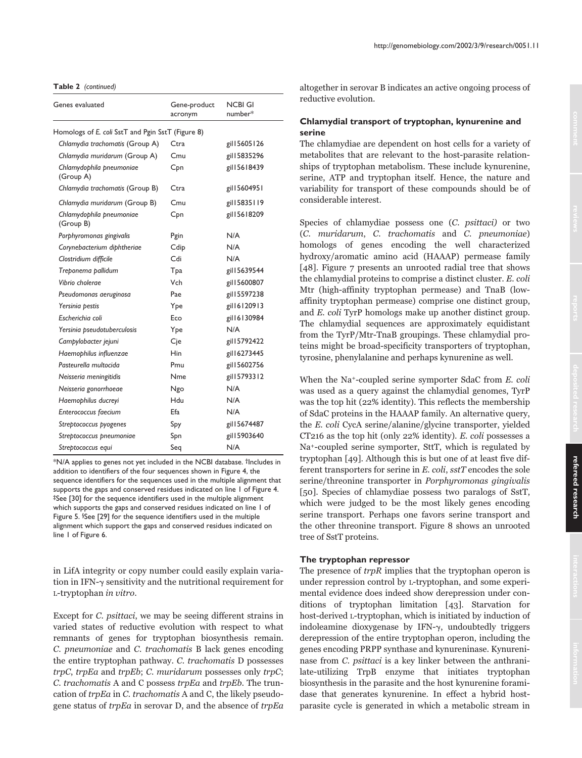| Genes evaluated                                   | Gene-product<br>acronym | NCBI GI<br>number* |
|---------------------------------------------------|-------------------------|--------------------|
| Homologs of E. coli SstT and Pgin SstT (Figure 8) |                         |                    |
| Chlamydia trachomatis (Group A)                   | Ctra                    | gil 15605126       |
| Chlamydia muridarum (Group A)                     | Cmu                     | gil 15835296       |
| Chlamydophila pneumoniae<br>(Group A)             | Cpn                     | gil 15618439       |
| Chlamydia trachomatis (Group B)                   | Ctra                    | gil I 5604951      |
| Chlamydia muridarum (Group B)                     | Cmu                     | gil15835119        |
| Chlamydophila pneumoniae<br>(Group B)             | Cpn                     | gil 15618209       |
| Porphyromonas gingivalis                          | Pgin                    | N/A                |
| Corynebacterium diphtheriae                       | Cdip                    | N/A                |
| Clostridium difficile                             | Cdi                     | N/A                |
| Treponema pallidum                                | Tpa                     | gil 15639544       |
| Vibrio cholerae                                   | Vch                     | gil I 5600807      |
| Pseudomonas aeruginosa                            | Pae                     | gil 15597238       |
| Yersinia pestis                                   | Ype                     | gil16120913        |
| Escherichia coli                                  | Eco                     | gil I 6 I 30984    |
| Yersinia pseudotuberculosis                       | Ype                     | N/A                |
| Campylobacter jejuni                              | Cje                     | gil I 5792422      |
| Haemophilus influenzae                            | <b>Hin</b>              | gil 16273445       |
| Pasteurella multocida                             | Pmu                     | gil 15602756       |
| Neisseria meningitidis                            | Nme                     | gil 15793312       |
| Neisseria gonorrhoeae                             | Ngo                     | N/A                |
| Haemophilus ducreyi                               | Hdu                     | N/A                |
| Enterococcus faecium                              | Efa                     | N/A                |
| Streptococcus pyogenes                            | Spy                     | gil I 5674487      |
| Streptococcus pneumoniae                          | Spn                     | gil I 5903640      |
| Streptococcus equi                                | Seq                     | N/A                |

\*N/A applies to genes not yet included in the NCBI database. **†**Includes in addition to identifiers of the four sequences shown in Figure 4, the sequence identifiers for the sequences used in the multiple alignment that supports the gaps and conserved residues indicated on line 1 of Figure 4. **‡**See [30] for the sequence identifiers used in the multiple alignment which supports the gaps and conserved residues indicated on line 1 of Figure 5. §See [29] for the sequence identifiers used in the multiple alignment which support the gaps and conserved residues indicated on line 1 of Figure 6.

in LifA integrity or copy number could easily explain variation in IFN- $\gamma$  sensitivity and the nutritional requirement for L-tryptophan in vitro.

Except for C. psittaci, we may be seeing different strains in varied states of reductive evolution with respect to what remnants of genes for tryptophan biosynthesis remain. C. pneumoniae and C. trachomatis B lack genes encoding the entire tryptophan pathway. C. trachomatis D possesses trpC, trpEa and trpEb; C. muridarum possesses only trpC; C. trachomatis A and C possess trpEa and trpEb. The truncation of trpEa in C. trachomatis A and C, the likely pseudogene status of trpEa in serovar D, and the absence of trpEa

altogether in serovar B indicates an active ongoing process of reductive evolution.

## **Chlamydial transport of tryptophan, kynurenine and serine**

The chlamydiae are dependent on host cells for a variety of metabolites that are relevant to the host-parasite relationships of tryptophan metabolism. These include kynurenine, serine, ATP and tryptophan itself. Hence, the nature and variability for transport of these compounds should be of considerable interest.

Species of chlamydiae possess one (C. psittaci) or two (C. muridarum, C. trachomatis and C. pneumoniae) homologs of genes encoding the well characterized hydroxy/aromatic amino acid (HAAAP) permease family [48]. Figure 7 presents an unrooted radial tree that shows the chlamydial proteins to comprise a distinct cluster. E. coli Mtr (high-affinity tryptophan permease) and TnaB (lowaffinity tryptophan permease) comprise one distinct group, and E. coli TyrP homologs make up another distinct group. The chlamydial sequences are approximately equidistant from the TyrP/Mtr-TnaB groupings. These chlamydial proteins might be broad-specificity transporters of tryptophan, tyrosine, phenylalanine and perhaps kynurenine as well.

When the Na<sup>+</sup>-coupled serine symporter SdaC from E. coli was used as a query against the chlamydial genomes, TyrP was the top hit (22% identity). This reflects the membership of SdaC proteins in the HAAAP family. An alternative query, the E. coli CycA serine/alanine/glycine transporter, yielded CT216 as the top hit (only 22% identity). E. coli possesses a Na+-coupled serine symporter, SttT, which is regulated by tryptophan [49]. Although this is but one of at least five different transporters for serine in E. coli, sstT encodes the sole serine/threonine transporter in Porphyromonas gingivalis [50]. Species of chlamydiae possess two paralogs of SstT, which were judged to be the most likely genes encoding serine transport. Perhaps one favors serine transport and the other threonine transport. Figure 8 shows an unrooted tree of SstT proteins.

## **The tryptophan repressor**

The presence of *trpR* implies that the tryptophan operon is under repression control by L-tryptophan, and some experimental evidence does indeed show derepression under conditions of tryptophan limitation [43]. Starvation for host-derived L-tryptophan, which is initiated by induction of indoleamine dioxygenase by IFN- $\gamma$ , undoubtedly triggers derepression of the entire tryptophan operon, including the genes encoding PRPP synthase and kynureninase. Kynureninase from C. psittaci is a key linker between the anthranilate-utilizing TrpB enzyme that initiates tryptophan biosynthesis in the parasite and the host kynurenine foramidase that generates kynurenine. In effect a hybrid hostparasite cycle is generated in which a metabolic stream in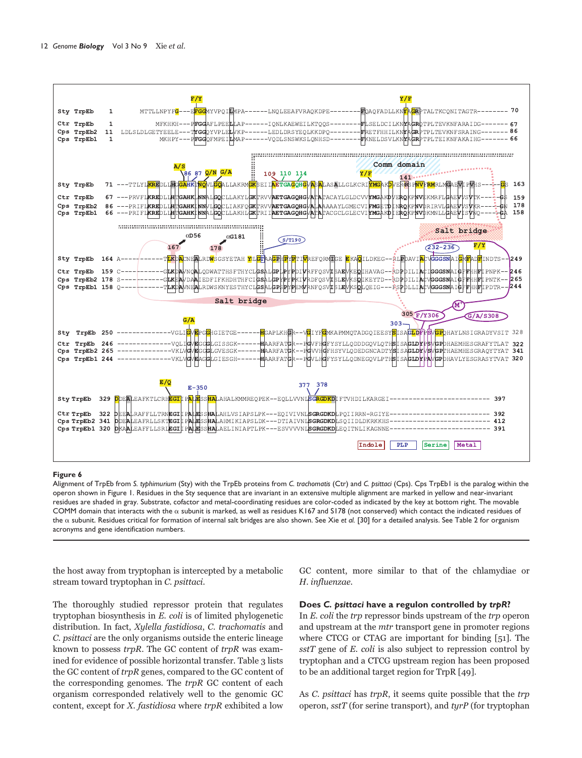

Alignment of TrpEb from *S. typhimurium* (Sty) with the TrpEb proteins from *C. trachomatis* (Ctr) and *C. psittaci* (Cps). Cps TrpEb1 is the paralog within the operon shown in Figure 1. Residues in the Sty sequence that are invariant in an extensive multiple alignment are marked in yellow and near-invariant residues are shaded in gray. Substrate, cofactor and metal-coordinating residues are color-coded as indicated by the key at bottom right. The movable COMM domain that interacts with the  $\alpha$  subunit is marked, as well as residues K167 and S178 (not conserved) which contact the indicated residues of the - subunit. Residues critical for formation of internal salt bridges are also shown. See Xie *et al.* [30] for a detailed analysis. See Table 2 for organism acronyms and gene identification numbers.

the host away from tryptophan is intercepted by a metabolic stream toward tryptophan in C. psittaci.

The thoroughly studied repressor protein that regulates tryptophan biosynthesis in E. coli is of limited phylogenetic distribution. In fact, Xylella fastidiosa, C. trachomatis and C. psittaci are the only organisms outside the enteric lineage known to possess trpR. The GC content of trpR was examined for evidence of possible horizontal transfer. Table 3 lists the GC content of trpR genes, compared to the GC content of the corresponding genomes. The trpR GC content of each organism corresponded relatively well to the genomic GC content, except for X. fastidiosa where trpR exhibited a low

GC content, more similar to that of the chlamydiae or H. influenzae.

#### **Does** *C. psittaci* **have a regulon controlled by** *trpR***?**

In E. coli the trp repressor binds upstream of the trp operon and upstream at the *mtr* transport gene in promoter regions where CTCG or CTAG are important for binding [51]. The  $s$ stT gene of  $E$ . coli is also subject to repression control by tryptophan and a CTCG upstream region has been proposed to be an additional target region for TrpR [49].

As C. psittaci has  $trpR$ , it seems quite possible that the  $trp$ operon,  $s$ stT (for serine transport), and tyrP (for tryptophan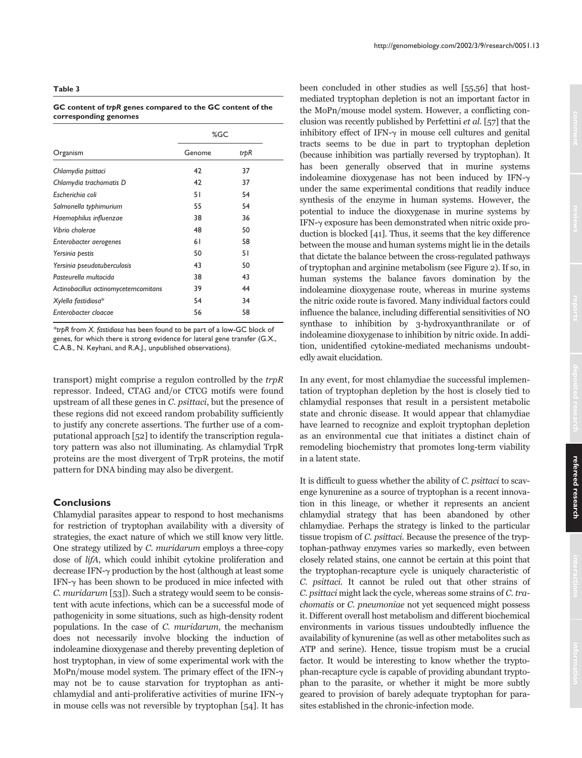#### **Table 3**

**GC content of** *trpR* **genes compared to the GC content of the corresponding genomes**

|                                      | %GC    |      |  |
|--------------------------------------|--------|------|--|
| Organism                             | Genome | trpR |  |
| Chlamydia psittaci                   | 42     | 37   |  |
| Chlamydia trachomatis D              | 42     | 37   |  |
| Escherichia coli                     | 51     | 54   |  |
| Salmonella typhimurium               | 55     | 54   |  |
| Haemophilus influenzae               | 38     | 36   |  |
| Vibrio cholerae                      | 48     | 50   |  |
| Enterobacter aerogenes               | 61     | 58   |  |
| Yersinia pestis                      | 50     | 51   |  |
| Yersinia pseudotuberculosis          | 43     | 50   |  |
| Pasteurella multocida                | 38     | 43   |  |
| Actinobacillus actinomycetemcomitans | 39     | 44   |  |
| Xylella fastidiosa*                  | 54     | 34   |  |
| Enterobacter cloacae                 | 56     | 58   |  |

*\*trpR* from *X. fastidiosa* has been found to be part of a low-GC block of genes, for which there is strong evidence for lateral gene transfer (G.X., C.A.B., N. Keyhani, and R.A.J., unpublished observations).

transport) might comprise a regulon controlled by the trpR repressor. Indeed, CTAG and/or CTCG motifs were found upstream of all these genes in C. psittaci, but the presence of these regions did not exceed random probability sufficiently to justify any concrete assertions. The further use of a computational approach [52] to identify the transcription regulatory pattern was also not illuminating. As chlamydial TrpR proteins are the most divergent of TrpR proteins, the motif pattern for DNA binding may also be divergent.

#### **Conclusions**

Chlamydial parasites appear to respond to host mechanisms for restriction of tryptophan availability with a diversity of strategies, the exact nature of which we still know very little. One strategy utilized by C. muridarum employs a three-copy dose of lifA, which could inhibit cytokine proliferation and decrease IFN- $\gamma$  production by the host (although at least some IFN- $\gamma$  has been shown to be produced in mice infected with C. muridarum [53]). Such a strategy would seem to be consistent with acute infections, which can be a successful mode of pathogenicity in some situations, such as high-density rodent populations. In the case of C. muridarum, the mechanism does not necessarily involve blocking the induction of indoleamine dioxygenase and thereby preventing depletion of host tryptophan, in view of some experimental work with the MoPn/mouse model system. The primary effect of the IFN- $\gamma$ may not be to cause starvation for tryptophan as antichlamydial and anti-proliferative activities of murine IFN- $\gamma$ in mouse cells was not reversible by tryptophan [54]. It has

been concluded in other studies as well [55,56] that hostmediated tryptophan depletion is not an important factor in the MoPn/mouse model system. However, a conflicting conclusion was recently published by Perfettini et al. [57] that the inhibitory effect of IFN- $\gamma$  in mouse cell cultures and genital tracts seems to be due in part to tryptophan depletion (because inhibition was partially reversed by tryptophan). It has been generally observed that in murine systems indoleamine dioxygenase has not been induced by IFN- $\gamma$ under the same experimental conditions that readily induce synthesis of the enzyme in human systems. However, the potential to induce the dioxygenase in murine systems by IFN- $\gamma$  exposure has been demonstrated when nitric oxide production is blocked [41]. Thus, it seems that the key difference between the mouse and human systems might lie in the details that dictate the balance between the cross-regulated pathways of tryptophan and arginine metabolism (see Figure 2). If so, in human systems the balance favors domination by the indoleamine dioxygenase route, whereas in murine systems the nitric oxide route is favored. Many individual factors could influence the balance, including differential sensitivities of NO synthase to inhibition by 3-hydroxyanthranilate or of indoleamine dioxygenase to inhibition by nitric oxide. In addition, unidentified cytokine-mediated mechanisms undoubtedly await elucidation.

In any event, for most chlamydiae the successful implementation of tryptophan depletion by the host is closely tied to chlamydial responses that result in a persistent metabolic state and chronic disease. It would appear that chlamydiae have learned to recognize and exploit tryptophan depletion as an environmental cue that initiates a distinct chain of remodeling biochemistry that promotes long-term viability in a latent state.

It is difficult to guess whether the ability of C. psittaci to scavenge kynurenine as a source of tryptophan is a recent innovation in this lineage, or whether it represents an ancient chlamydial strategy that has been abandoned by other chlamydiae. Perhaps the strategy is linked to the particular tissue tropism of C. psittaci. Because the presence of the tryptophan-pathway enzymes varies so markedly, even between closely related stains, one cannot be certain at this point that the tryptophan-recapture cycle is uniquely characteristic of C. psittaci. It cannot be ruled out that other strains of C. psittaci might lack the cycle, whereas some strains of C. trachomatis or C. pneumoniae not yet sequenced might possess it. Different overall host metabolism and different biochemical environments in various tissues undoubtedly influence the availability of kynurenine (as well as other metabolites such as ATP and serine). Hence, tissue tropism must be a crucial factor. It would be interesting to know whether the tryptophan-recapture cycle is capable of providing abundant tryptophan to the parasite, or whether it might be more subtly geared to provision of barely adequate tryptophan for parasites established in the chronic-infection mode.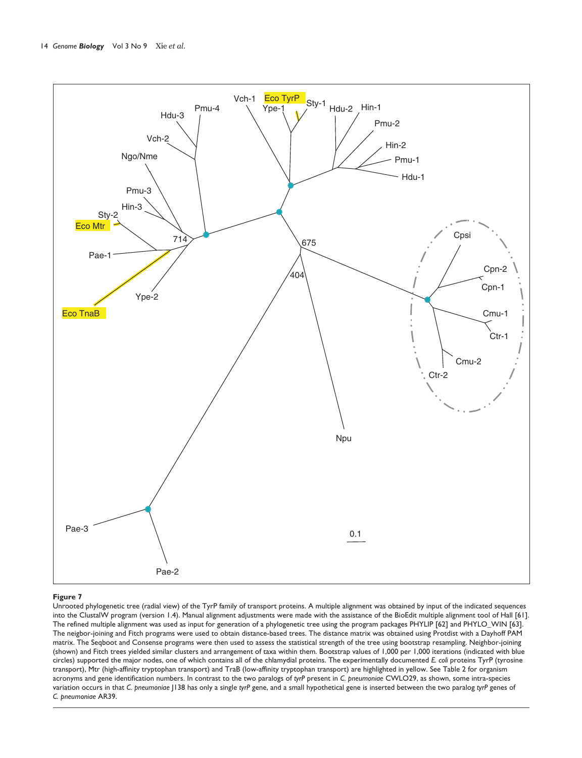

Unrooted phylogenetic tree (radial view) of the TyrP family of transport proteins. A multiple alignment was obtained by input of the indicated sequences into the ClustalW program (version 1.4). Manual alignment adjustments were made with the assistance of the BioEdit multiple alignment tool of Hall [61]. The refined multiple alignment was used as input for generation of a phylogenetic tree using the program packages PHYLIP [62] and PHYLO\_WIN [63]. The neigbor-joining and Fitch programs were used to obtain distance-based trees. The distance matrix was obtained using Protdist with a Dayhoff PAM matrix. The Seqboot and Consense programs were then used to assess the statistical strength of the tree using bootstrap resampling. Neighbor-joining (shown) and Fitch trees yielded similar clusters and arrangement of taxa within them. Bootstrap values of 1,000 per 1,000 iterations (indicated with blue circles) supported the major nodes, one of which contains all of the chlamydial proteins. The experimentally documented *E. coli* proteins TyrP (tyrosine transport), Mtr (high-affinity tryptophan transport) and TraB (low-affinity tryptophan transport) are highlighted in yellow. See Table 2 for organism acronyms and gene identification numbers. In contrast to the two paralogs of *tyrP* present in *C. pneumoniae* CWLO29, as shown, some intra-species variation occurs in that *C. pneumoniae* J138 has only a single *tyrP* gene, and a small hypothetical gene is inserted between the two paralog *tyrP* genes of *C. pneumoniae* AR39.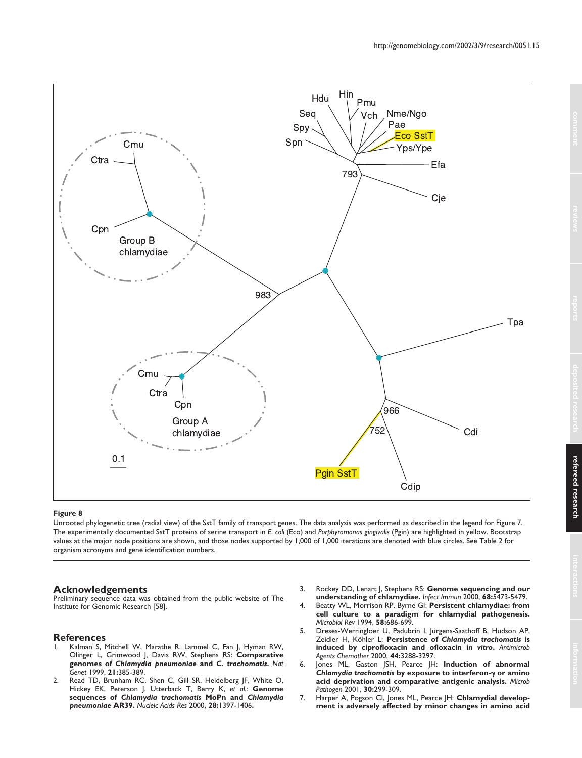

Unrooted phylogenetic tree (radial view) of the SstT family of transport genes. The data analysis was performed as described in the legend for Figure 7. The experimentally documented SstT proteins of serine transport in *E. coli* (Eco) and *Porphyromonas gingivalis* (Pgin) are highlighted in yellow. Bootstrap values at the major node positions are shown, and those nodes supported by 1,000 of 1,000 iterations are denoted with blue circles. See Table 2 for organism acronyms and gene identification numbers.

#### **Acknowledgements**

Preliminary sequence data was obtained from the public website of The Institute for Genomic Research [58].

#### **References**

- 1. Kalman S, Mitchell W, Marathe R, Lammel C, Fan J, Hyman RW, Olinger L, Grimwood J, Davis RW, Stephens RS: **Comparative genomes of** *Chlamydia pneumoniae* **and** *C. trachomatis***.** *Nat Genet* 1999, **21:**385-389.
- 2. Read TD, Brunham RC, Shen C, Gill SR, Heidelberg JF, White O, Hickey EK, Peterson J, Utterback T, Berry K, *et al.*: **Genome sequences of** *Chlamydia trachomatis* **MoPn and** *Chlamydia pneumoniae* **AR39.** *Nucleic Acids Res* 2000, **28:**1397-1406**.**
- 3. Rockey DD, Lenart J, Stephens RS: **Genome sequencing and our understanding of chlamydiae.** *Infect Immun* 2000, **68:**5473-5479.
- 4. Beatty WL, Morrison RP, Byrne GI: **Persistent chlamydiae: from cell culture to a paradigm for chlamydial pathogenesis.** *Microbiol Rev* 1994, **58:**686-699.
- 5. Dreses-Werringloer U, Padubrin I, Jürgens-Saathoff B, Hudson AP, Zeidler H, Köhler L: **Persistence of** *Chlamydia trachomatis* **is induced by ciprofloxacin and ofloxacin i***n vitro***.** *Antimicrob Agents Chemother* 2000, **44:**3288-3297.
- 6. Jones ML, Gaston JSH, Pearce JH: **Induction of abnormal** *Chlamydia trachomatis* **by exposure to interferon- or amino acid deprivation and comparative antigenic analysis.** *Microb Pathogen* 2001, **30:**299-309.
- 7. Harper A, Pogson CI, Jones ML, Pearce JH: **Chlamydial development is adversely affected by minor changes in amino acid**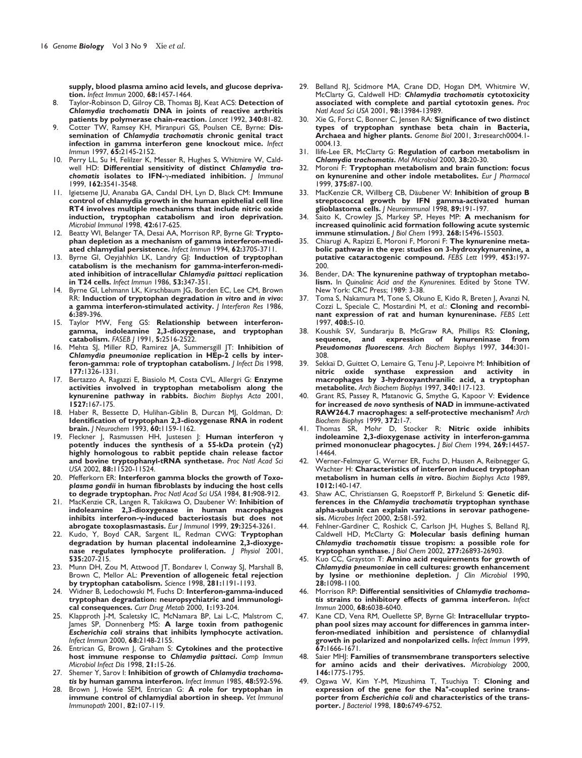**supply, blood plasma amino acid levels, and glucose deprivation.** *Infect Immun* 2000, **68:**1457-1464.

- 8. Taylor-Robinson D, Gilroy CB, Thomas BJ, Keat ACS: **Detection of** *Chlamydia trachomatis* **DNA in joints of reactive arthritis patients by polymerase chain-reaction.** *Lancet* 1992, **340:**81-82.
- 9. Cotter TW, Ramsey KH, Miranpuri GS, Poulsen CE, Byrne: **Dissemination of** *Chlamydia trachomatis* **chronic genital tract infection in gamma interferon gene knockout mice.** *Infect Immun* 1997, **65:**2145-2152.
- 10. Perry LL, Su H, Felilzer K, Messer R, Hughes S, Whitmire W, Caldwell HD: **Differential sensitivity of distinct** *Chlamydia trachomatis* **isolates to IFN--mediated inhibition.** *J Immunol* 1999, **162:**3541-3548.
- 11. Igietseme JU, Ananaba GA, Candal DH, Lyn D, Black CM: **Immune control of chlamydia growth in the human epithelial cell line RT4 involves multiple mechanisms that include nitric oxide induction, tryptophan catabolism and iron deprivation.** *Microbial Immunol* 1998, **42:**617-625.
- 12. Beatty WI, Belanger TA, Desai AA, Morrison RP, Byrne GI: **Tryptophan depletion as a mechanism of gamma interferon-mediated chlamydial persistence.** *Infect Immun* 1994, **62:**3705-3711.
- 13. Byrne GI, Oeyjahhkn LK, Landry GJ: **Induction of tryptophan catabolism is the mechanism for gamma-interferon-mediated inhibition of intracellular** *Chlamydia psittaci* **replication in T24 cells.** *Infect Immun* 1986, **53:**347-351.
- Byrne GI, Lehmann LK, Kirschbaum JG, Borden EC, Lee CM, Brown RR: **Induction of tryptophan degradation** *in vitro* **and** *in vivo***: a gamma interferon-stimulated activity.** *J Interferon Res* 1986, **6:**389-396.
- 15. Taylor MW, Feng GS: **Relationship between interferongamma, indoleamine 2,3-dioxygenase, and tryptophan catabolism.** *FASEB J* 1991, **5:**2516-2522.
- 16. Mehta SJ, Miller RD, Ramirez JA, Summersgill JT: **Inhibition of** *Chlamydia pneumoniae* **replication in HEp-2 cells by interferon-gamma: role of tryptophan catabolism.** *J Infect Dis* 1998, **177:**1326-1331.
- 17. Bertazzo A, Ragazzi E, Biasiolo M, Costa CVL, Allergri G: **Enzyme activities involved in tryptophan metabolism along the kynurenine pathway in rabbits.** *Biochim Biophys Acta* 2001, **1527:**167-175*.*
- 18. Haber R, Bessette D, Hulihan-Giblin B, Durcan MJ, Goldman, D: **Identification of tryptophan 2,3-dioxygenase RNA in rodent brain.** *J Neurochem* 1993, **60:**1159-1162.
- 19. Fleckner J, Rasmussen HH, Justesen J: **Human interferon potently induces the synthesis of a 55-kDa protein (2) highly homologous to rabbit peptide chain release factor and bovine tryptophanyl-tRNA synthetase.** *Proc Natl Acad Sci USA* 2002, **88:**11520-11524.
- 20. Pfefferkorn ER: **Interferon gamma blocks the growth of** *Toxoplasma gondii* **in human fibroblasts by inducing the host cells to degrade tryptophan.** *Proc Natl Acad Sci USA* 1984, **81:**908-912.
- 21. MacKenzie CR, Langen R, Takikawa O, Daubener W: **Inhibition of indoleamine 2,3-dioxygenase in human macrophages inhibits interferon--induced bacteriostasis but does not abrogate toxoplasmastasis.** *Eur J Immunol* 1999, **29:**3254-3261.
- 22. Kudo, Y, Boyd CAR, Sargent IL, Redman CWG: **Tryptophan degradation by human placental indoleamine 2,3-dioxygenase regulates lymphocyte proliferation.** *J Physiol* 2001, **535:**207-215.
- 23. Munn DH, Zou M, Attwood JT, Bondarev I, Conway SJ, Marshall B, Brown C, Mellor AL: **Prevention of allogeneic fetal rejection by tryptophan catabolism.** *Science* 1998, **281:**1191-1193.
- 24. Widner B, Ledochowski M, Fuchs D: **Interferon-gamma-induced tryptophan degradation: neuropsychiatric and immunological consequences.** *Curr Drug Metab* 2000, **1:**193-204.
- 25. Klapproth J-M, Scaletsky IC, McNamara BP, Lai L-C, Malstrom C, James SP, Donnenberg MS: **A large toxin from pathogenic** *Escherichia coli* **strains that inhibits lymphocyte activation.** *Infect Immun* 2000, **68:**2148-2155.
- 26. Entrican G, Brown J, Graham S: **Cytokines and the protective host immune response to** *Chlamydia psittaci***.** *Comp Immun Microbiol Infect Dis* 1998, **21:**15-26.
- 27. Shemer Y, Sarov I: **Inhibition of growth of** *Chlamydia trachomatis* **by human gamma interferon.** *Infect Immun* 1985, **48:**592-596.
- 28. Brown J, Howie SEM, Entrican G: **A role for tryptophan in immune control of chlamydial abortion in sheep.** *Vet Immunol Immunopath* 2001, **82:**107-119.
- 29. Belland RJ, Scidmore MA, Crane DD, Hogan DM, Whitmire W, McClarty G, Caldwell HD: *Chlamydia trachomatis* **cytotoxicity associated with complete and partial cytotoxin genes.** *Proc Natl Acad Sci USA* 2001, **98:**13984-13989.
- 30. Xie G, Forst C, Bonner C, Jensen RA: **Significance of two distinct types of tryptophan synthase beta chain in Bacteria, Archaea and higher plants.** *Genome Biol* 2001, **3:**research0004.1- 0004.13.
- 31. Ilife-Lee ER, McClarty G: **Regulation of carbon metabolism in** *Chlamydia trachomatis***.** *Mol Microbiol* 2000, **38:**20-30.
- 32. Moroni F: **Tryptophan metabolism and brain function: focus on kynurenine and other indole metabolites.** *Eur J Pharmacol* 1999, **375:**87-100.
- 33. MacKenzie CR, Willberg CB, Däubener W: **Inhibition of group B streptococcal growth by IFN gamma-activated human glioblastoma cells.** *J Neuroimmunol* 1998, **89:**191-197.
- 34. Saito K, Crowley JS, Markey SP, Heyes MP: **A mechanism for increased quinolinic acid formation following acute systemic immune stimulation.** *J Biol Chem* 1993, **268:**15496-15503.
- 35. Chiarugi A, Rapizzi E, Moroni F, Moroni F: **The kynurenine metabolic pathway in the eye: studies on 3-hydroxykynurenine, a putative cataractogenic compound.** *FEBS Lett* 1999, **453:**197- 200.
- 36. Bender, DA: **The kynurenine pathway of tryptophan metabolism.** In *Quinolinic Acid and the Kynurenines.* Edited by Stone TW. New York: CRC Press; 1989: 3-38.
- 37. Toma S, Nakamura M, Tone S, Okuno E, Kido R, Breten J, Avanzi N, Cozzi L, Speciale C, Mostardini M, *et al.*: **Cloning and recombinant expression of rat and human kynureninase.** *FEBS Lett* 1997, **408:**5-10.
- 38. Koushik SV, Sundararju B, McGraw RA, Phillips RS: **Cloning, sequence, and expression of kynureninase from** *Pseudomonas fluorescens*. *Arch Biochem Biophys* 1997, **344:**301- 308.
- 39. Sekkaï D, Guittet O, Lemaire G, Tenu J-P, Lepoivre M: **Inhibition of nitric oxide synthase expression and activity in macrophages by 3-hydroxyanthranilic acid, a tryptophan metabolite.** *Arch Biochem Biophys* 1997, **340:**117-123.
- 40. Grant RS, Passey R, Matanovic G, Smythe G, Kapoor V: **Evidence for increased** *de novo* **synthesis of NAD in immune-activated RAW264.7 macrophages: a self-protective mechanism?** *Arch Biochem Biophys* 1999, **372:**1-7.
- 41. Thomas SR, Mohr D, Stocker R: **Nitric oxide inhibits indoleamine 2,3-dioxygenase activity in interferon-gamma primed mononuclear phagocytes.** *J Biol Chem* 1994, **269:**14457- 14464.
- 42. Werner-Felmayer G, Werner ER, Fuchs D, Hausen A, Reibnegger G, Wachter H: **Characteristics of interferon induced tryptophan metabolism in human cells** *in vitro***.** *Biochim Biophys Acta* 1989, **1012:**140-147.
- 43. Shaw AC, Christiansen G, Roepstorff P, Birkelund S: **Genetic differences in the** *Chlamydia trachomatis* **tryptophan synthase alpha-subunit can explain variations in serovar pathogenesis.** *Microbes Infect* 2000, **2:**581-592.
- 44. Fehlner-Gardiner C, Roshick C, Carlson JH, Hughes S, Belland RJ, Caldwell HD, McClarty G: **Molecular basis defining human** *Chlamydia trachomatis* **tissue tropism: a possible role for tryptophan synthase.** *J Biol Chem* 2002, **277:**26893-26903.
- 45. Kuo CC, Grayston T: **Amino acid requirements for growth of** *Chlamydia pneumoniae* **in cell cultures: growth enhancement by lysine or methionine depletion.** *J Clin Microbiol* 1990, **28:**1098-1100.
- 46. Morrison RP: **Differential sensitivities of** *Chlamydia trachomatis* **strains to inhibitory effects of gamma interferon.** *Infect Immun* 2000, **68:**6038-6040.
- Kane CD, Vena RM, Ouellette SP, Byrne Gl: Intracellular trypto**phan pool sizes may account for differences in gamma interferon-mediated inhibition and persistence of chlamydial growth in polarized and nonpolarized cells.** *Infect Immun* 1999, **67:**1666-1671.
- 48. Saier MHJ: **Families of transmembrane transporters selective for amino acids and their derivatives.** *Microbiology* 2000, **146:**1775-1795.
- 49. Ogawa W, Kim Y-M, Mizushima T, Tsuchiya T: **Cloning and expression of the gene for the Na+-coupled serine transporter from** *Escherichia coli* **and characteristics of the transporter.** *J Bacteriol* 1998, **180:**6749-6752.